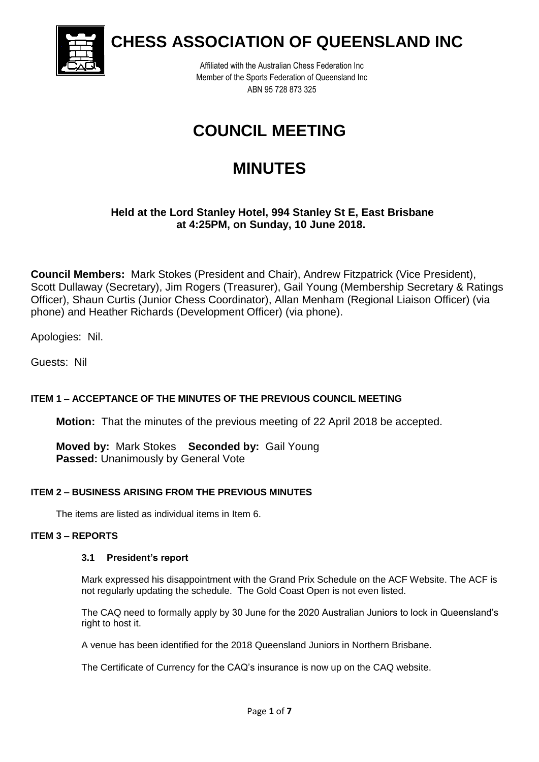

**CHESS ASSOCIATION OF QUEENSLAND INC**

Affiliated with the Australian Chess Federation Inc Member of the Sports Federation of Queensland Inc ABN 95 728 873 325

# **COUNCIL MEETING**

# **MINUTES**

# **Held at the Lord Stanley Hotel, 994 Stanley St E, East Brisbane at 4:25PM, on Sunday, 10 June 2018.**

**Council Members:** Mark Stokes (President and Chair), Andrew Fitzpatrick (Vice President), Scott Dullaway (Secretary), Jim Rogers (Treasurer), Gail Young (Membership Secretary & Ratings Officer), Shaun Curtis (Junior Chess Coordinator), Allan Menham (Regional Liaison Officer) (via phone) and Heather Richards (Development Officer) (via phone).

Apologies: Nil.

Guests: Nil

## **ITEM 1 – ACCEPTANCE OF THE MINUTES OF THE PREVIOUS COUNCIL MEETING**

**Motion:** That the minutes of the previous meeting of 22 April 2018 be accepted.

**Moved by:** Mark Stokes **Seconded by:** Gail Young **Passed:** Unanimously by General Vote

## **ITEM 2 – BUSINESS ARISING FROM THE PREVIOUS MINUTES**

The items are listed as individual items in Item 6.

## **ITEM 3 – REPORTS**

#### **3.1 President's report**

Mark expressed his disappointment with the Grand Prix Schedule on the ACF Website. The ACF is not regularly updating the schedule. The Gold Coast Open is not even listed.

The CAQ need to formally apply by 30 June for the 2020 Australian Juniors to lock in Queensland's right to host it.

A venue has been identified for the 2018 Queensland Juniors in Northern Brisbane.

The Certificate of Currency for the CAQ's insurance is now up on the CAQ website.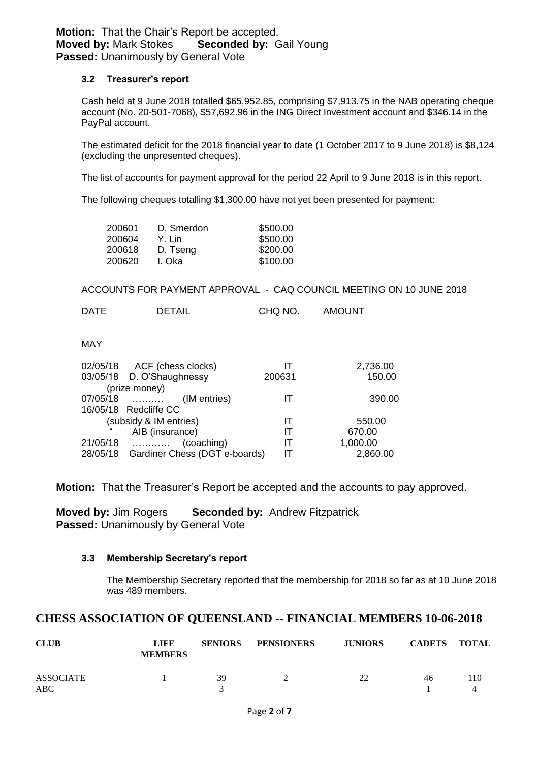## **Motion:** That the Chair's Report be accepted. **Moved by:** Mark Stokes **Seconded by:** Gail Young **Passed: Unanimously by General Vote**

#### **3.2 Treasurer's report**

Cash held at 9 June 2018 totalled \$65,952.85, comprising \$7,913.75 in the NAB operating cheque account (No. 20-501-7068), \$57,692.96 in the ING Direct Investment account and \$346.14 in the PayPal account.

The estimated deficit for the 2018 financial year to date (1 October 2017 to 9 June 2018) is \$8,124 (excluding the unpresented cheques).

The list of accounts for payment approval for the period 22 April to 9 June 2018 is in this report.

The following cheques totalling \$1,300.00 have not yet been presented for payment:

| 200601 | D. Smerdon | \$500.00 |
|--------|------------|----------|
| 200604 | Y. Lin     | \$500.00 |
| 200618 | D. Tseng   | \$200.00 |
| 200620 | I. Oka     | \$100.00 |

ACCOUNTS FOR PAYMENT APPROVAL - CAQ COUNCIL MEETING ON 10 JUNE 2018

DATE DETAIL CHQ NO. AMOUNT

## MAY

| 02/05/18 ACF (chess clocks)            |        | 2,736.00 |
|----------------------------------------|--------|----------|
| 03/05/18 D. O'Shaughnessy              | 200631 | 150.00   |
| (prize money)                          |        |          |
| 07/05/18<br>(IM entries)               |        | 390.00   |
| 16/05/18 Redcliffe CC                  |        |          |
| (subsidy & IM entries)                 | IТ     | 550.00   |
| AIB (insurance)                        | IТ     | 670.00   |
| $21/05/18$<br>(coaching)               | П      | 1,000.00 |
| 28/05/18 Gardiner Chess (DGT e-boards) | IТ     | 2,860.00 |

**Motion:** That the Treasurer's Report be accepted and the accounts to pay approved.

**Moved by:** Jim Rogers **Seconded by:** Andrew Fitzpatrick **Passed:** Unanimously by General Vote

#### **3.3 Membership Secretary's report**

The Membership Secretary reported that the membership for 2018 so far as at 10 June 2018 was 489 members.

## **CHESS ASSOCIATION OF QUEENSLAND -- FINANCIAL MEMBERS 10-06-2018**

| <b>CLUB</b>      | LIFE<br><b>MEMBERS</b> | <b>SENIORS</b> | <b>PENSIONERS</b> | <b>JUNIORS</b> | <b>CADETS</b> | TOTAL |
|------------------|------------------------|----------------|-------------------|----------------|---------------|-------|
| ASSOCIATE<br>ABC |                        | 39             |                   | つつ             | 46            | 110   |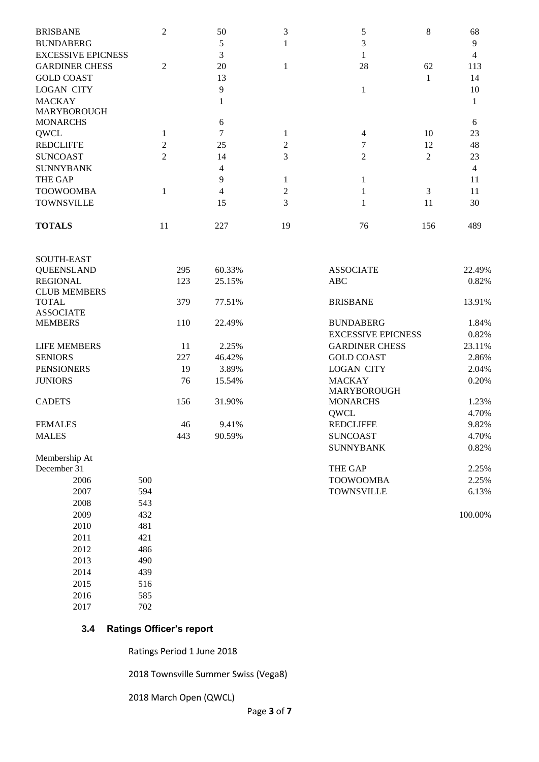| <b>BRISBANE</b>           | $\overline{c}$ | 50  | 3  |    | 8              | 68  |
|---------------------------|----------------|-----|----|----|----------------|-----|
| <b>BUNDABERG</b>          |                |     |    |    |                | 9   |
| <b>EXCESSIVE EPICNESS</b> |                |     |    |    |                |     |
| <b>GARDINER CHESS</b>     | $\mathfrak{D}$ | 20  |    | 28 | 62             | 113 |
| <b>GOLD COAST</b>         |                | 13  |    |    |                | 14  |
| <b>LOGAN CITY</b>         |                | 9   |    |    |                | 10  |
| <b>MACKAY</b>             |                |     |    |    |                |     |
| <b>MARYBOROUGH</b>        |                |     |    |    |                |     |
| <b>MONARCHS</b>           |                | 6   |    |    |                | 6   |
| QWCL                      |                |     |    |    | 10             | 23  |
| <b>REDCLIFFE</b>          |                | 25  |    |    | 12             | 48  |
| <b>SUNCOAST</b>           | 2              | 14  | 3  |    | $\mathfrak{D}$ | 23  |
| <b>SUNNYBANK</b>          |                |     |    |    |                |     |
| <b>THE GAP</b>            |                | 9   |    |    |                | 11  |
| <b>TOOWOOMBA</b>          |                | 4   |    |    | 3              | 11  |
| <b>TOWNSVILLE</b>         |                | 15  | 3  |    | 11             | 30  |
| <b>TOTALS</b>             | 11             | 227 | 19 | 76 | 156            | 489 |

| <b>SOUTH-EAST</b>                      |     |        |                           |         |
|----------------------------------------|-----|--------|---------------------------|---------|
| <b>QUEENSLAND</b>                      | 295 | 60.33% | <b>ASSOCIATE</b>          | 22.49%  |
| <b>REGIONAL</b><br><b>CLUB MEMBERS</b> | 123 | 25.15% | <b>ABC</b>                | 0.82%   |
| <b>TOTAL</b>                           | 379 | 77.51% | <b>BRISBANE</b>           | 13.91%  |
| <b>ASSOCIATE</b>                       |     |        |                           |         |
| <b>MEMBERS</b>                         | 110 | 22.49% | <b>BUNDABERG</b>          | 1.84%   |
|                                        |     |        | <b>EXCESSIVE EPICNESS</b> | 0.82%   |
| <b>LIFE MEMBERS</b>                    | 11  | 2.25%  | <b>GARDINER CHESS</b>     | 23.11%  |
| <b>SENIORS</b>                         | 227 | 46.42% | <b>GOLD COAST</b>         | 2.86%   |
| <b>PENSIONERS</b>                      | 19  | 3.89%  | <b>LOGAN CITY</b>         | 2.04%   |
| <b>JUNIORS</b>                         | 76  | 15.54% | <b>MACKAY</b>             | 0.20%   |
|                                        |     |        | <b>MARYBOROUGH</b>        |         |
| <b>CADETS</b>                          | 156 | 31.90% | <b>MONARCHS</b>           | 1.23%   |
|                                        |     |        | <b>OWCL</b>               | 4.70%   |
| <b>FEMALES</b>                         | 46  | 9.41%  | <b>REDCLIFFE</b>          | 9.82%   |
| <b>MALES</b>                           | 443 | 90.59% | <b>SUNCOAST</b>           | 4.70%   |
|                                        |     |        | <b>SUNNYBANK</b>          | 0.82%   |
| Membership At                          |     |        |                           |         |
| December 31                            |     |        | <b>THE GAP</b>            | 2.25%   |
| 2006                                   | 500 |        | <b>TOOWOOMBA</b>          | 2.25%   |
| 2007                                   | 594 |        | <b>TOWNSVILLE</b>         | 6.13%   |
| 2008                                   | 543 |        |                           |         |
| 2009                                   | 432 |        |                           | 100.00% |
| 2010                                   | 481 |        |                           |         |
| 2011                                   | 421 |        |                           |         |
| 2012                                   | 486 |        |                           |         |
| 2013                                   | 490 |        |                           |         |

## **3.4 Ratings Officer's report**

2014 439 2015 516 2016 585 2017 702

Ratings Period 1 June 2018

2018 Townsville Summer Swiss (Vega8)

2018 March Open (QWCL)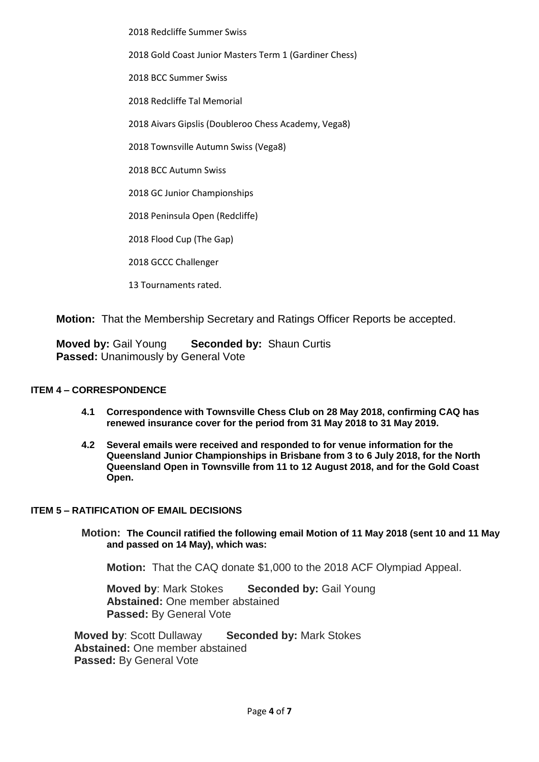2018 Redcliffe Summer Swiss

2018 Gold Coast Junior Masters Term 1 (Gardiner Chess)

2018 BCC Summer Swiss

2018 Redcliffe Tal Memorial

2018 Aivars Gipslis (Doubleroo Chess Academy, Vega8)

2018 Townsville Autumn Swiss (Vega8)

2018 BCC Autumn Swiss

2018 GC Junior Championships

2018 Peninsula Open (Redcliffe)

2018 Flood Cup (The Gap)

2018 GCCC Challenger

13 Tournaments rated.

**Motion:** That the Membership Secretary and Ratings Officer Reports be accepted.

**Moved by:** Gail Young **Seconded by:** Shaun Curtis **Passed:** Unanimously by General Vote

#### **ITEM 4 – CORRESPONDENCE**

- **4.1 Correspondence with Townsville Chess Club on 28 May 2018, confirming CAQ has renewed insurance cover for the period from 31 May 2018 to 31 May 2019.**
- **4.2 Several emails were received and responded to for venue information for the Queensland Junior Championships in Brisbane from 3 to 6 July 2018, for the North Queensland Open in Townsville from 11 to 12 August 2018, and for the Gold Coast Open.**

#### **ITEM 5 – RATIFICATION OF EMAIL DECISIONS**

**Motion: The Council ratified the following email Motion of 11 May 2018 (sent 10 and 11 May and passed on 14 May), which was:**

**Motion:** That the CAQ donate \$1,000 to the 2018 ACF Olympiad Appeal.

**Moved by**: Mark Stokes **Seconded by:** Gail Young **Abstained:** One member abstained **Passed:** By General Vote

**Moved by**: Scott Dullaway **Seconded by:** Mark Stokes **Abstained:** One member abstained **Passed:** By General Vote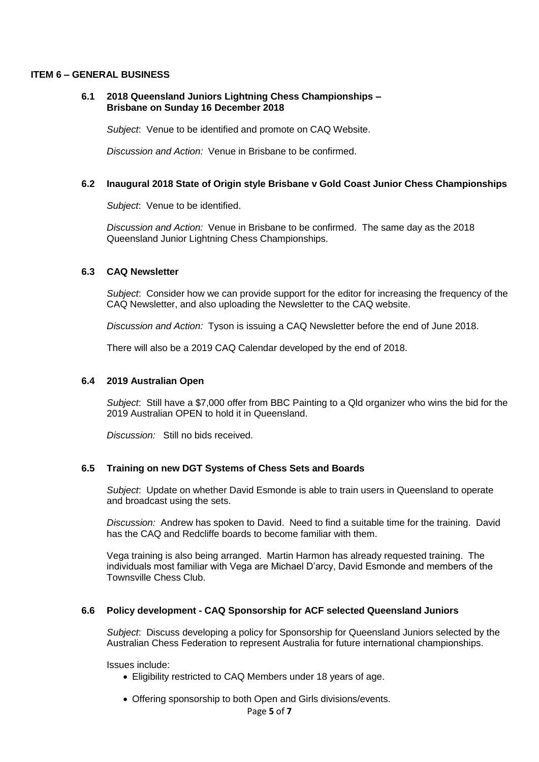#### **ITEM 6 – GENERAL BUSINESS**

#### **6.1 2018 Queensland Juniors Lightning Chess Championships – Brisbane on Sunday 16 December 2018**

*Subject*: Venue to be identified and promote on CAQ Website.

*Discussion and Action:* Venue in Brisbane to be confirmed.

#### **6.2 Inaugural 2018 State of Origin style Brisbane v Gold Coast Junior Chess Championships**

*Subject*: Venue to be identified.

*Discussion and Action:* Venue in Brisbane to be confirmed. The same day as the 2018 Queensland Junior Lightning Chess Championships.

#### **6.3 CAQ Newsletter**

*Subject*: Consider how we can provide support for the editor for increasing the frequency of the CAQ Newsletter, and also uploading the Newsletter to the CAQ website.

*Discussion and Action:* Tyson is issuing a CAQ Newsletter before the end of June 2018.

There will also be a 2019 CAQ Calendar developed by the end of 2018.

#### **6.4 2019 Australian Open**

*Subject*: Still have a \$7,000 offer from BBC Painting to a Qld organizer who wins the bid for the 2019 Australian OPEN to hold it in Queensland.

*Discussion:* Still no bids received.

#### **6.5 Training on new DGT Systems of Chess Sets and Boards**

*Subject*: Update on whether David Esmonde is able to train users in Queensland to operate and broadcast using the sets.

*Discussion:* Andrew has spoken to David. Need to find a suitable time for the training. David has the CAQ and Redcliffe boards to become familiar with them.

Vega training is also being arranged. Martin Harmon has already requested training. The individuals most familiar with Vega are Michael D'arcy, David Esmonde and members of the Townsville Chess Club.

#### **6.6 Policy development - CAQ Sponsorship for ACF selected Queensland Juniors**

*Subject*: Discuss developing a policy for Sponsorship for Queensland Juniors selected by the Australian Chess Federation to represent Australia for future international championships.

Issues include:

- Eligibility restricted to CAQ Members under 18 years of age.
- Offering sponsorship to both Open and Girls divisions/events.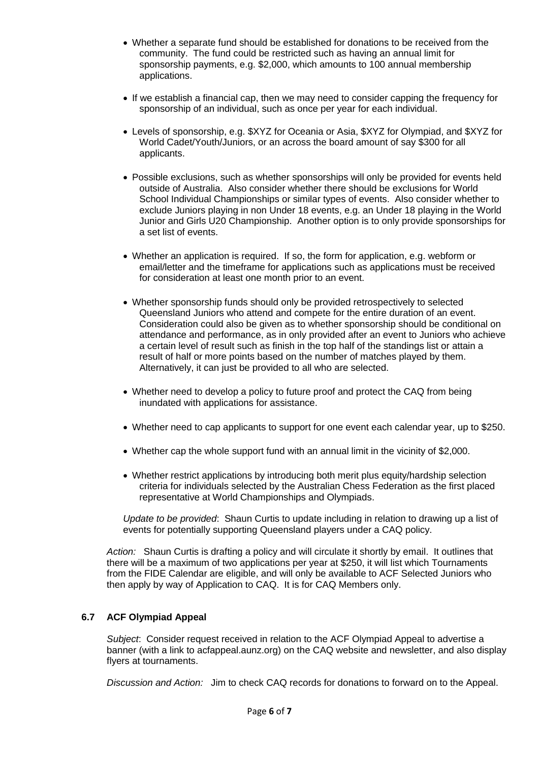- Whether a separate fund should be established for donations to be received from the community. The fund could be restricted such as having an annual limit for sponsorship payments, e.g. \$2,000, which amounts to 100 annual membership applications.
- If we establish a financial cap, then we may need to consider capping the frequency for sponsorship of an individual, such as once per year for each individual.
- Levels of sponsorship, e.g. \$XYZ for Oceania or Asia, \$XYZ for Olympiad, and \$XYZ for World Cadet/Youth/Juniors, or an across the board amount of say \$300 for all applicants.
- Possible exclusions, such as whether sponsorships will only be provided for events held outside of Australia. Also consider whether there should be exclusions for World School Individual Championships or similar types of events. Also consider whether to exclude Juniors playing in non Under 18 events, e.g. an Under 18 playing in the World Junior and Girls U20 Championship. Another option is to only provide sponsorships for a set list of events.
- Whether an application is required. If so, the form for application, e.g. webform or email/letter and the timeframe for applications such as applications must be received for consideration at least one month prior to an event.
- Whether sponsorship funds should only be provided retrospectively to selected Queensland Juniors who attend and compete for the entire duration of an event. Consideration could also be given as to whether sponsorship should be conditional on attendance and performance, as in only provided after an event to Juniors who achieve a certain level of result such as finish in the top half of the standings list or attain a result of half or more points based on the number of matches played by them. Alternatively, it can just be provided to all who are selected.
- Whether need to develop a policy to future proof and protect the CAQ from being inundated with applications for assistance.
- Whether need to cap applicants to support for one event each calendar year, up to \$250.
- Whether cap the whole support fund with an annual limit in the vicinity of \$2,000.
- Whether restrict applications by introducing both merit plus equity/hardship selection criteria for individuals selected by the Australian Chess Federation as the first placed representative at World Championships and Olympiads.

*Update to be provided*: Shaun Curtis to update including in relation to drawing up a list of events for potentially supporting Queensland players under a CAQ policy.

*Action:* Shaun Curtis is drafting a policy and will circulate it shortly by email. It outlines that there will be a maximum of two applications per year at \$250, it will list which Tournaments from the FIDE Calendar are eligible, and will only be available to ACF Selected Juniors who then apply by way of Application to CAQ. It is for CAQ Members only.

## **6.7 ACF Olympiad Appeal**

*Subject*: Consider request received in relation to the ACF Olympiad Appeal to advertise a banner (with a link to acfappeal.aunz.org) on the CAQ website and newsletter, and also display flyers at tournaments.

*Discussion and Action:* Jim to check CAQ records for donations to forward on to the Appeal.